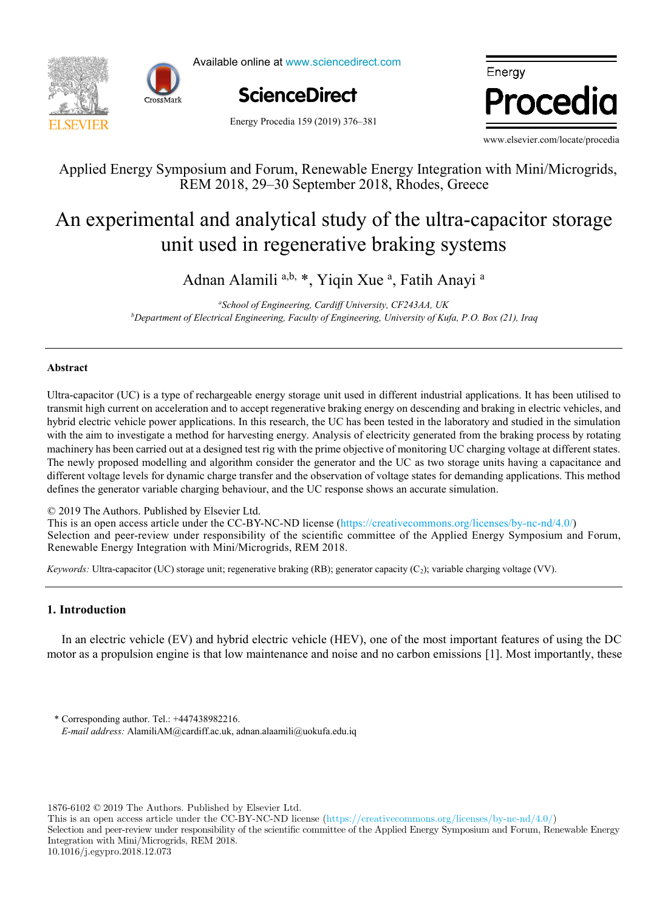



Available online at www.sciencedirect.com



Energy ww.elsevier.com/locate/procedia

Energy Procedia 159 (2019) 376–381

www.elsevier.com/locate/procedia

## Applied Energy Symposium and Forum, Renewable Energy Integration with Mini/Microgrids,<br>REM 2018, 29–30 September 2018, Rhodes, Greece<br>An experimental and analytical study of the ultra-capacitor storage Applied Energy Symposium and Forum, Renewable Energy Integration with Mini/Microgrids, REM 2018, 29–30 September 2018, Rhodes, Greece

# and used in regenerative ordining systems unit used in regenerative braking systems unit used in regenerative braking systems

Adnan Alamili a,b, \*, Yiqin Xue a, Fatih Anayi a

behold by Engineering, Carlify Surversity, Cr 243111, CK behavior of Electrical Engineering, Faculty of Engineering, University of Kufa, P.O. Box (21), Iraq *a School of Engineering, Cardiff University, CF243AA, UK a School of Engineering, Cardiff University, CF243AA, UK*

*IN+ Center for Innovation, Technology and Policy Research - Instituto Superior Técnico, Av. Rovisco Pais 1, 1049-001 Lisbon, Portugal*

### **Abstract**

hybrid electric vehicle power applications. In this research, the UC has been tested in the laboratory and studied in the simulation machinery has been carried out at a designed test rig with the prime objective of monitoring UC charging voltage at different states. The newly proposed modelling and algorithm consider the generator and the UC as two storage units having a capacitance and different voltage levels for dynamic charge transfer and the observation of voltage states for demanding applications. This method defines the generator variable charging behaviour, and the UC response shows an accurate simulation. The main scope of this paper is to assess the feature function for temperature function for  $\frac{1}{\sqrt{2}}$ Ultra-capacitor (UC) is a type of rechargeable energy storage unit used in different industrial applications. It has been utilised to transmit high current on acceleration and to accept regenerative braking energy on descending and braking in electric vehicles, and with the aim to investigate a method for harvesting energy. Analysis of electricity generated from the braking process by rotating

© 2019 The Authors. Published by Elsevier Ltd.

 $\degree$  2019 The Authors. Published by Eisevier Etd.<br>This is an open access article under the CC-BY-NC-ND license (https://creativecommons.org/licenses/by-nc-nd/4.0/) Selection and peer-review under responsibility of the scientific committee of the Applied Energy Symposium and Forum, Renewable Energy Integration with Mini/Microgrids, REM 2018.

Keywords: Ultra-capacitor (UC) storage unit; regenerative braking (RB); generator capacity (C<sub>2</sub>); variable charging voltage (VV).

#### $$ **1. Introduction 1.Introduction**

In an electric vehicle (EV) and hybrid electric vehicle (HEV), one of the most important features of using the DC  $\alpha$  and values suggests suggested could be used to modify the values of  $\alpha$  and  $\alpha$  the scenarios constant  $\alpha$  the scenarios constant  $\alpha$  the scenarios constant  $\alpha$  the scenarios constant  $\alpha$  the scenarios constant motor as a propulsion engine is that low maintenance and noise and no carbon emissions [1]. Most importantly, these In an electric vehicle (EV) and hybrid electric vehicle (HEV), one of the most important features of using the DC<br>motor as a propulsion engine is that low maintenance and noise and no carbon emissions [1]. Most importantly

 $*$  Corresponding author. Tel.:  $+447438982216$ . *Keywords:* Heat demand; Forecast; Climate change *E-mail address:* AlamiliAM@cardiff.ac.uk, adnan.alaamili@uokufa.edu.iq *E-mail address:* AlamiliAM@cardiff.ac.uk, adnan.alaamili@uokufa.edu.iq

1876-6102 © 2017 The Authors. Published by Elsevier Ltd. 1876-6102 © 2019 The Authors. Published by Elsevier Ltd.

This is an open access article under the CC-BY-NC-ND license (https://creativecommons.org/licenses/by-nc-nd/4.0/) Selection and peer-review under responsibility of the scientific committee of the Applied Energy Symposium and Forum, Renewable Energy Integration with Mini/Microgrids, REM 2018.

10.1016/j.egypro.2018.12.073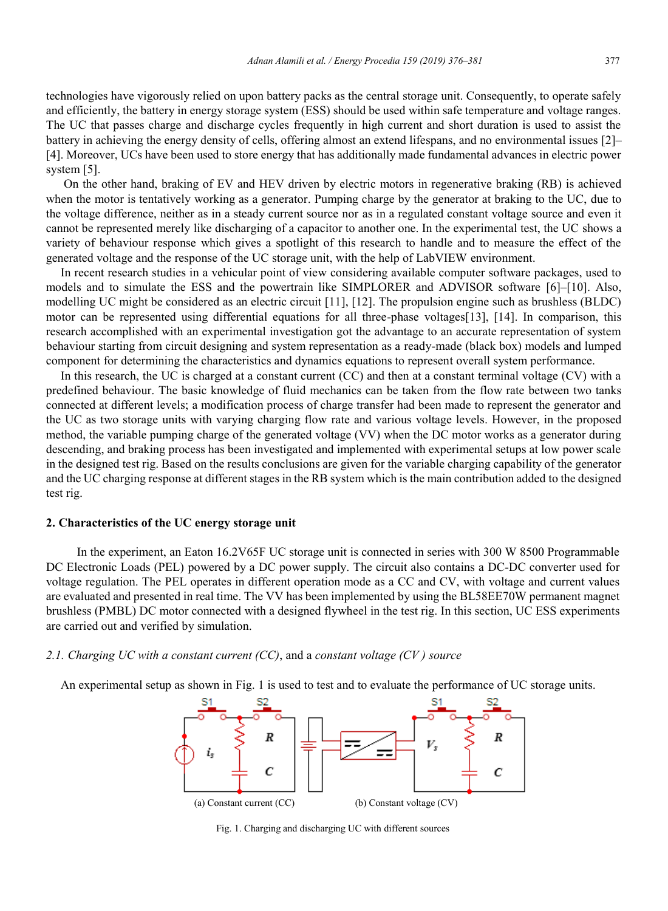technologies have vigorously relied on upon battery packs as the central storage unit. Consequently, to operate safely and efficiently, the battery in energy storage system (ESS) should be used within safe temperature and voltage ranges. The UC that passes charge and discharge cycles frequently in high current and short duration is used to assist the battery in achieving the energy density of cells, offering almost an extend lifespans, and no environmental issues [2]– [4]. Moreover, UCs have been used to store energy that has additionally made fundamental advances in electric power system [5].

On the other hand, braking of EV and HEV driven by electric motors in regenerative braking (RB) is achieved when the motor is tentatively working as a generator. Pumping charge by the generator at braking to the UC, due to the voltage difference, neither as in a steady current source nor as in a regulated constant voltage source and even it cannot be represented merely like discharging of a capacitor to another one. In the experimental test, the UC shows a variety of behaviour response which gives a spotlight of this research to handle and to measure the effect of the generated voltage and the response of the UC storage unit, with the help of LabVIEW environment.

In recent research studies in a vehicular point of view considering available computer software packages, used to models and to simulate the ESS and the powertrain like SIMPLORER and ADVISOR software [6]–[10]. Also, modelling UC might be considered as an electric circuit [11], [12]. The propulsion engine such as brushless (BLDC) motor can be represented using differential equations for all three-phase voltages[13], [14]. In comparison, this research accomplished with an experimental investigation got the advantage to an accurate representation of system behaviour starting from circuit designing and system representation as a ready-made (black box) models and lumped component for determining the characteristics and dynamics equations to represent overall system performance.

In this research, the UC is charged at a constant current (CC) and then at a constant terminal voltage (CV) with a predefined behaviour. The basic knowledge of fluid mechanics can be taken from the flow rate between two tanks connected at different levels; a modification process of charge transfer had been made to represent the generator and the UC as two storage units with varying charging flow rate and various voltage levels. However, in the proposed method, the variable pumping charge of the generated voltage (VV) when the DC motor works as a generator during descending, and braking process has been investigated and implemented with experimental setups at low power scale in the designed test rig. Based on the results conclusions are given for the variable charging capability of the generator and the UC charging response at different stages in the RB system which is the main contribution added to the designed test rig.

#### **2. Characteristics of the UC energy storage unit**

 In the experiment, an Eaton 16.2V65F UC storage unit is connected in series with 300 W 8500 Programmable DC Electronic Loads (PEL) powered by a DC power supply. The circuit also contains a DC-DC converter used for voltage regulation. The PEL operates in different operation mode as a CC and CV, with voltage and current values are evaluated and presented in real time. The VV has been implemented by using the BL58EE70W permanent magnet brushless (PMBL) DC motor connected with a designed flywheel in the test rig. In this section, UC ESS experiments are carried out and verified by simulation.

#### *2.1. Charging UC with a constant current (CC)*, and a *constant voltage (CV ) source*

An experimental setup as shown in Fig. 1 is used to test and to evaluate the performance of UC storage units.



Fig. 1. Charging and discharging UC with different sources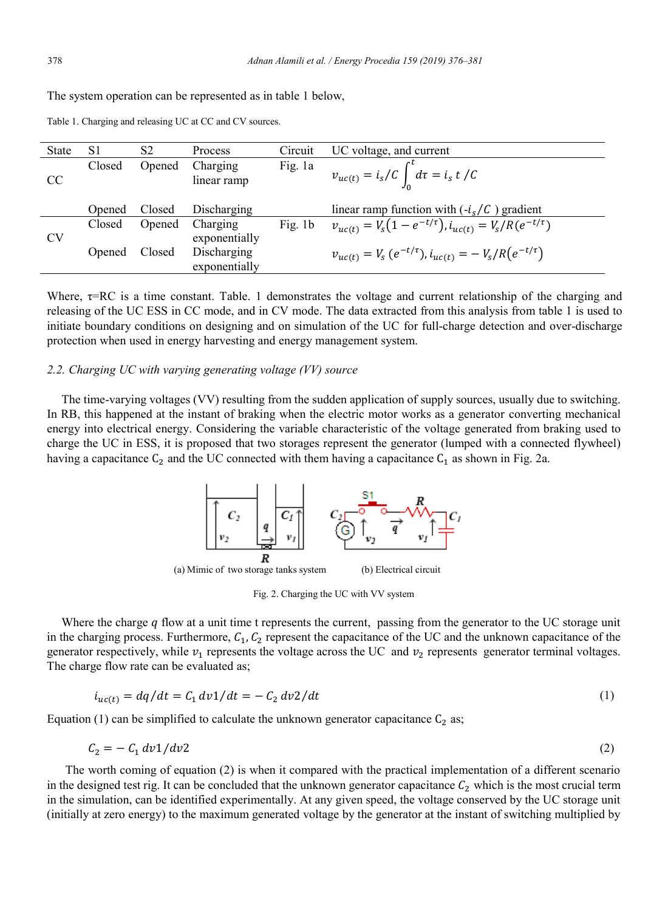The system operation can be represented as in table 1 below,

Table 1. Charging and releasing UC at CC and CV sources.

| <b>State</b> | S1     | S <sub>2</sub> | Process                      | Circuit   | UC voltage, and current                                               |
|--------------|--------|----------------|------------------------------|-----------|-----------------------------------------------------------------------|
| <b>CC</b>    | Closed | Opened         | Charging<br>linear ramp      | Fig. 1a   | $v_{uc(t)} = i_s/C \int_c^t d\tau = i_s t/C$                          |
|              | Opened | Closed         | Discharging                  |           | linear ramp function with $(-i_s/C)$ gradient                         |
| <b>CV</b>    | Closed | Opened         | Charging<br>exponentially    | Fig. $1b$ | $v_{uc(t)} = V_s(1 - e^{-t/\tau})$ , $i_{uc(t)} = V_s/R(e^{-t/\tau})$ |
|              | Opened | Closed         | Discharging<br>exponentially |           | $v_{uc(t)} = V_s (e^{-t/\tau}), i_{uc(t)} = -V_s/R(e^{-t/\tau})$      |

Where,  $\tau$ =RC is a time constant. Table. 1 demonstrates the voltage and current relationship of the charging and releasing of the UC ESS in CC mode, and in CV mode. The data extracted from this analysis from table 1 is used to initiate boundary conditions on designing and on simulation of the UC for full-charge detection and over-discharge protection when used in energy harvesting and energy management system.

#### *2.2. Charging UC with varying generating voltage (VV) source*

The time-varying voltages (VV) resulting from the sudden application of supply sources, usually due to switching. In RB, this happened at the instant of braking when the electric motor works as a generator converting mechanical energy into electrical energy. Considering the variable characteristic of the voltage generated from braking used to charge the UC in ESS, it is proposed that two storages represent the generator (lumped with a connected flywheel) having a capacitance  $C_2$  and the UC connected with them having a capacitance  $C_1$  as shown in Fig. 2a.



Fig. 2. Charging the UC with VV system

Where the charge  $q$  flow at a unit time t represents the current, passing from the generator to the UC storage unit in the charging process. Furthermore,  $C_1$ ,  $C_2$  represent the capacitance of the UC and the unknown capacitance of the generator respectively, while  $v_1$  represents the voltage across the UC and  $v_2$  represents generator terminal voltages. The charge flow rate can be evaluated as;

$$
i_{uc(t)} = dq/dt = C_1 dv1/dt = -C_2 dv2/dt
$$
\n(1)

Equation (1) can be simplified to calculate the unknown generator capacitance  $C_2$  as;

$$
C_2 = -C_1 dv1/dv2 \tag{2}
$$

The worth coming of equation (2) is when it compared with the practical implementation of a different scenario in the designed test rig. It can be concluded that the unknown generator capacitance  $C_2$  which is the most crucial term in the simulation, can be identified experimentally. At any given speed, the voltage conserved by the UC storage unit (initially at zero energy) to the maximum generated voltage by the generator at the instant of switching multiplied by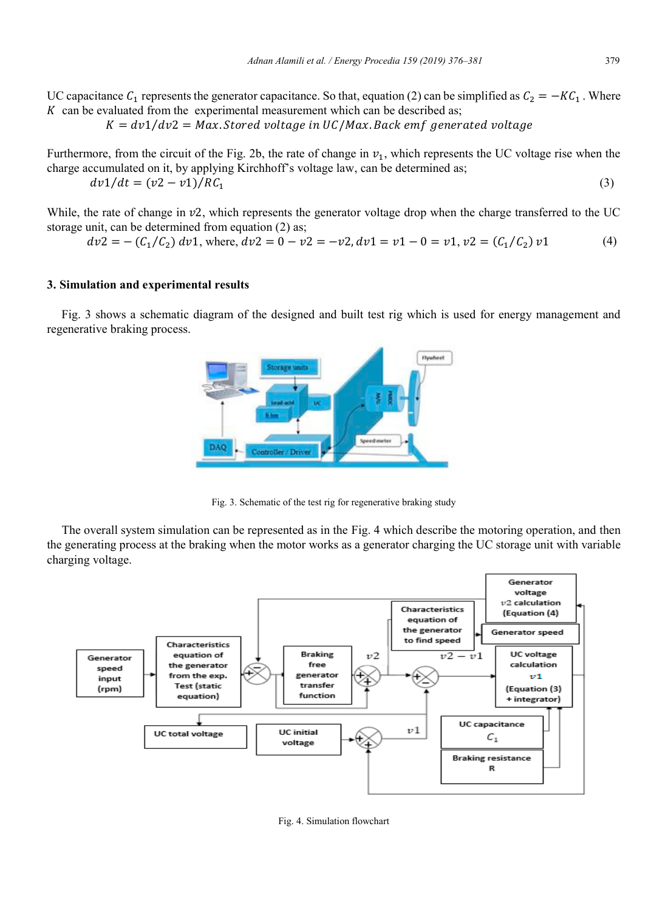UC capacitance  $C_1$  represents the generator capacitance. So that, equation (2) can be simplified as  $C_2 = -KC_1$ . Where  $K$  can be evaluated from the experimental measurement which can be described as;

 $K = dv1/dv2 = Max.$  Stored voltage in UC/Max. Back emf generated voltage

Furthermore, from the circuit of the Fig. 2b, the rate of change in  $v_1$ , which represents the UC voltage rise when the charge accumulated on it, by applying Kirchhoff's voltage law, can be determined as;

$$
dv1/dt = (v2 - v1)/RC_1
$$
\n<sup>(3)</sup>

While, the rate of change in  $v^2$ , which represents the generator voltage drop when the charge transferred to the UC storage unit, can be determined from equation (2) as;

$$
dv2 = -(C_1/C_2) dv1, \text{ where, } dv2 = 0 - v2 = -v2, dv1 = v1 - 0 = v1, v2 = (C_1/C_2) v1
$$
 (4)

#### **3. Simulation and experimental results**

Fig. 3 shows a schematic diagram of the designed and built test rig which is used for energy management and regenerative braking process.



Fig. 3. Schematic of the test rig for regenerative braking study

The overall system simulation can be represented as in the Fig. 4 which describe the motoring operation, and then the generating process at the braking when the motor works as a generator charging the UC storage unit with variable charging voltage.



Fig. 4. Simulation flowchart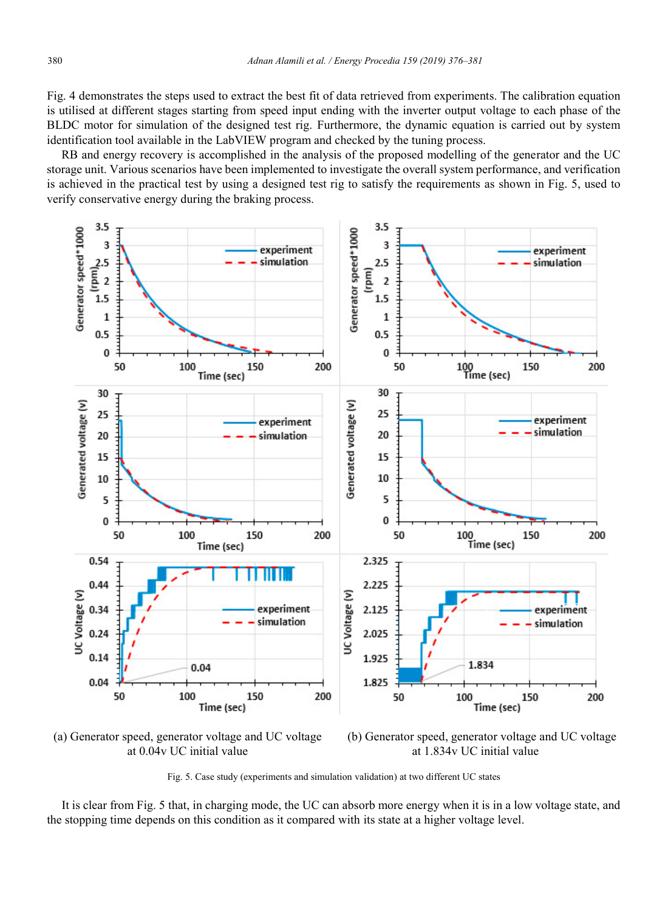Fig. 4 demonstrates the steps used to extract the best fit of data retrieved from experiments. The calibration equation is utilised at different stages starting from speed input ending with the inverter output voltage to each phase of the BLDC motor for simulation of the designed test rig. Furthermore, the dynamic equation is carried out by system identification tool available in the LabVIEW program and checked by the tuning process.

RB and energy recovery is accomplished in the analysis of the proposed modelling of the generator and the UC storage unit. Various scenarios have been implemented to investigate the overall system performance, and verification is achieved in the practical test by using a designed test rig to satisfy the requirements as shown in Fig. 5, used to verify conservative energy during the braking process.





Fig. 5. Case study (experiments and simulation validation) at two different UC states

It is clear from Fig. 5 that, in charging mode, the UC can absorb more energy when it is in a low voltage state, and the stopping time depends on this condition as it compared with its state at a higher voltage level.